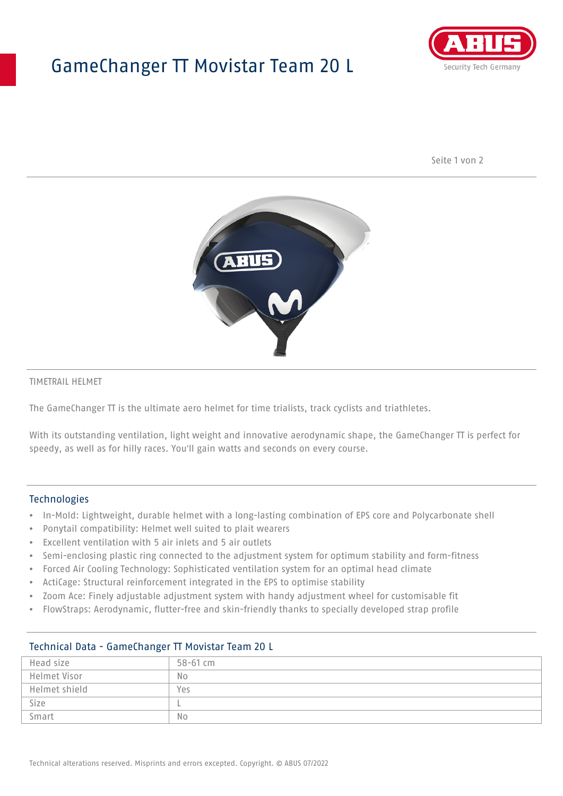# GameChanger TT Movistar Team 20 L



Seite 1 von 2



#### TIMETRAIL HELMET

The GameChanger TT is the ultimate aero helmet for time trialists, track cyclists and triathletes.

With its outstanding ventilation, light weight and innovative aerodynamic shape, the GameChanger TT is perfect for speedy, as well as for hilly races. You'll gain watts and seconds on every course.

#### Technologies

- In-Mold: Lightweight, durable helmet with a long-lasting combination of EPS core and Polycarbonate shell
- Ponytail compatibility: Helmet well suited to plait wearers
- Excellent ventilation with 5 air inlets and 5 air outlets
- Semi-enclosing plastic ring connected to the adjustment system for optimum stability and form-fitness
- Forced Air Cooling Technology: Sophisticated ventilation system for an optimal head climate
- ActiCage: Structural reinforcement integrated in the EPS to optimise stability
- Zoom Ace: Finely adjustable adjustment system with handy adjustment wheel for customisable fit
- FlowStraps: Aerodynamic, flutter-free and skin-friendly thanks to specially developed strap profile

| Head size     | 58-61 cm       |
|---------------|----------------|
| Helmet Visor  | No             |
| Helmet shield | Yes            |
| Size          |                |
| Smart         | N <sub>o</sub> |

## Technical Data - GameChanger TT Movistar Team 20 L